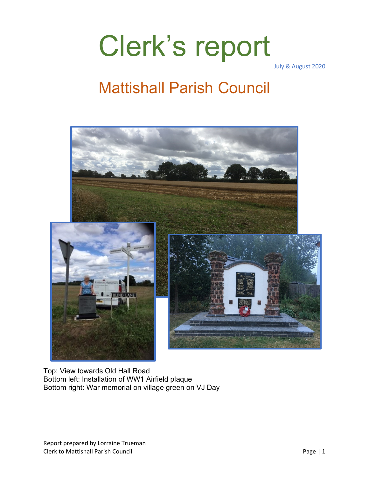# Clerk's report

July & August 2020

### Mattishall Parish Council



Top: View towards Old Hall Road Bottom left: Installation of WW1 Airfield plaque Bottom right: War memorial on village green on VJ Day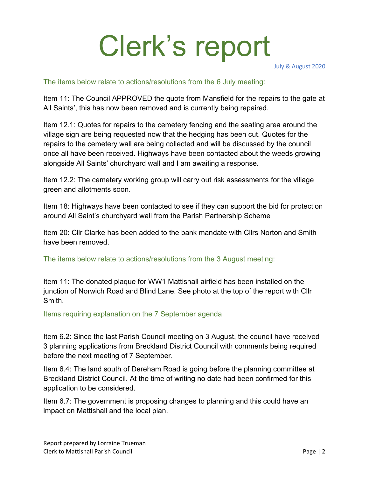# Clerk's report

July & August 2020

#### The items below relate to actions/resolutions from the 6 July meeting:

Item 11: The Council APPROVED the quote from Mansfield for the repairs to the gate at All Saints', this has now been removed and is currently being repaired.

Item 12.1: Quotes for repairs to the cemetery fencing and the seating area around the village sign are being requested now that the hedging has been cut. Quotes for the repairs to the cemetery wall are being collected and will be discussed by the council once all have been received. Highways have been contacted about the weeds growing alongside All Saints' churchyard wall and I am awaiting a response.

Item 12.2: The cemetery working group will carry out risk assessments for the village green and allotments soon.

Item 18: Highways have been contacted to see if they can support the bid for protection around All Saint's churchyard wall from the Parish Partnership Scheme

Item 20: Cllr Clarke has been added to the bank mandate with Cllrs Norton and Smith have been removed.

The items below relate to actions/resolutions from the 3 August meeting:

Item 11: The donated plaque for WW1 Mattishall airfield has been installed on the junction of Norwich Road and Blind Lane. See photo at the top of the report with Cllr **Smith** 

Items requiring explanation on the 7 September agenda

Item 6.2: Since the last Parish Council meeting on 3 August, the council have received 3 planning applications from Breckland District Council with comments being required before the next meeting of 7 September.

Item 6.4: The land south of Dereham Road is going before the planning committee at Breckland District Council. At the time of writing no date had been confirmed for this application to be considered.

Item 6.7: The government is proposing changes to planning and this could have an impact on Mattishall and the local plan.